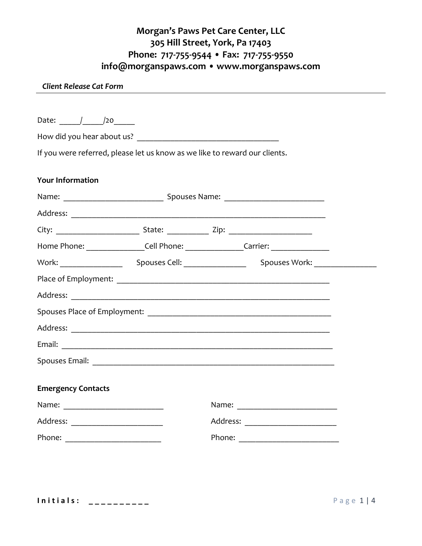## **Morgan's Paws Pet Care Center, LLC 305 Hill Street, York, Pa 17403 Phone: 717-755-9544 • Fax: 717-755-9550 info@morganspaws.com • www.morganspaws.com**

## *Client Release Cat Form*

| If you were referred, please let us know as we like to reward our clients.<br><b>Your Information</b><br>Home Phone: ___________________Cell Phone: _________________Carrier: ____________<br><b>Emergency Contacts</b><br>Address: __________________________ | Date: / /20 |  |
|----------------------------------------------------------------------------------------------------------------------------------------------------------------------------------------------------------------------------------------------------------------|-------------|--|
|                                                                                                                                                                                                                                                                |             |  |
|                                                                                                                                                                                                                                                                |             |  |
|                                                                                                                                                                                                                                                                |             |  |
|                                                                                                                                                                                                                                                                |             |  |
|                                                                                                                                                                                                                                                                |             |  |
|                                                                                                                                                                                                                                                                |             |  |
|                                                                                                                                                                                                                                                                |             |  |
|                                                                                                                                                                                                                                                                |             |  |
|                                                                                                                                                                                                                                                                |             |  |
|                                                                                                                                                                                                                                                                |             |  |
|                                                                                                                                                                                                                                                                |             |  |
|                                                                                                                                                                                                                                                                |             |  |
|                                                                                                                                                                                                                                                                |             |  |
|                                                                                                                                                                                                                                                                |             |  |
|                                                                                                                                                                                                                                                                |             |  |
|                                                                                                                                                                                                                                                                |             |  |
|                                                                                                                                                                                                                                                                |             |  |
|                                                                                                                                                                                                                                                                |             |  |
|                                                                                                                                                                                                                                                                |             |  |
|                                                                                                                                                                                                                                                                |             |  |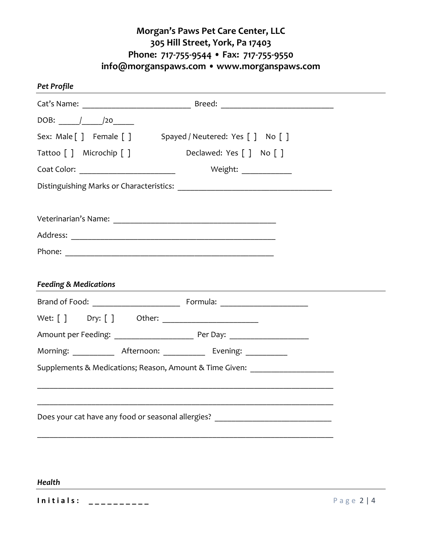## **Morgan's Paws Pet Care Center, LLC 305 Hill Street, York, Pa 17403 Phone: 717-755-9544 • Fax: 717-755-9550 info@morganspaws.com • www.morganspaws.com**

| Pet Profile                                                         |                                                                                  |  |
|---------------------------------------------------------------------|----------------------------------------------------------------------------------|--|
|                                                                     |                                                                                  |  |
|                                                                     |                                                                                  |  |
| Sex: Male [ ] Female [ ] Spayed / Neutered: Yes [ ] No [ ]          |                                                                                  |  |
| Tattoo [ ] Microchip [ ]                                            | Declawed: Yes [ ] No [ ]                                                         |  |
| Coat Color: ____________________________                            | Weight: ______________                                                           |  |
|                                                                     |                                                                                  |  |
|                                                                     |                                                                                  |  |
|                                                                     |                                                                                  |  |
|                                                                     |                                                                                  |  |
| <b>Feeding &amp; Medications</b>                                    |                                                                                  |  |
|                                                                     |                                                                                  |  |
|                                                                     |                                                                                  |  |
|                                                                     |                                                                                  |  |
| Morning: _____________ Afternoon: ____________ Evening: ___________ |                                                                                  |  |
|                                                                     | Supplements & Medications; Reason, Amount & Time Given: ________________________ |  |
|                                                                     |                                                                                  |  |
|                                                                     | Does your cat have any food or seasonal allergies?                               |  |

**I n i t i a l s : \_ \_ \_ \_ \_ \_ \_ \_ \_ \_** P a g e 2 | 4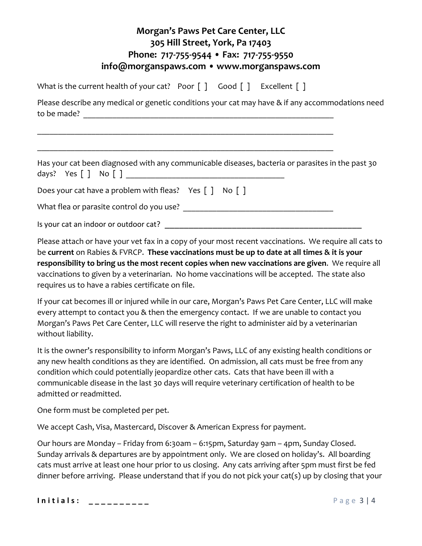| Morgan's Paws Pet Care Center, LLC<br>305 Hill Street, York, Pa 17403<br>Phone: 717-755-9544 • Fax: 717-755-9550<br>info@morganspaws.com • www.morganspaws.com |  |  |  |
|----------------------------------------------------------------------------------------------------------------------------------------------------------------|--|--|--|
| What is the current health of your cat? Poor $\lceil \cdot \rceil$ Good $\lceil \cdot \rceil$ Excellent $\lceil \cdot \rceil$                                  |  |  |  |
| Please describe any medical or genetic conditions your cat may have & if any accommodations need                                                               |  |  |  |
| Has your cat been diagnosed with any communicable diseases, bacteria or parasites in the past 30                                                               |  |  |  |
| Does your cat have a problem with fleas? Yes $\lceil \cdot \rceil$ No $\lceil \cdot \rceil$                                                                    |  |  |  |
|                                                                                                                                                                |  |  |  |
|                                                                                                                                                                |  |  |  |

Please attach or have your vet fax in a copy of your most recent vaccinations. We require all cats to be **current** on Rabies & FVRCP. **These vaccinations must be up to date at all times & it is your responsibility to bring us the most recent copies when new vaccinations are given**. We require all vaccinations to given by a veterinarian. No home vaccinations will be accepted. The state also requires us to have a rabies certificate on file.

If your cat becomes ill or injured while in our care, Morgan's Paws Pet Care Center, LLC will make every attempt to contact you & then the emergency contact. If we are unable to contact you Morgan's Paws Pet Care Center, LLC will reserve the right to administer aid by a veterinarian without liability.

It is the owner's responsibility to inform Morgan's Paws, LLC of any existing health conditions or any new health conditions as they are identified. On admission, all cats must be free from any condition which could potentially jeopardize other cats. Cats that have been ill with a communicable disease in the last 30 days will require veterinary certification of health to be admitted or readmitted.

One form must be completed per pet.

We accept Cash, Visa, Mastercard, Discover & American Express for payment.

Our hours are Monday – Friday from 6:30am – 6:15pm, Saturday 9am – 4pm, Sunday Closed. Sunday arrivals & departures are by appointment only. We are closed on holiday's. All boarding cats must arrive at least one hour prior to us closing. Any cats arriving after 5pm must first be fed dinner before arriving. Please understand that if you do not pick your cat(s) up by closing that your